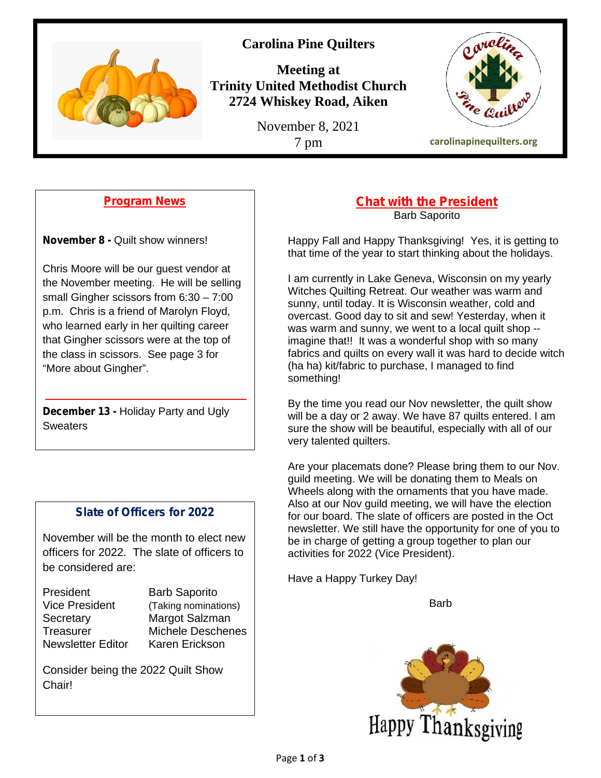

## **Carolina Pine Quilters**

**Meeting at Trinity United Methodist Church 2724 Whiskey Road, Aiken**

November 8, 2021



## **Program News**

**November 8 -** Quilt show winners!

Chris Moore will be our guest vendor at the November meeting. He will be selling small Gingher scissors from 6:30 – 7:00 p.m. Chris is a friend of Marolyn Floyd, who learned early in her quilting career that Gingher scissors were at the top of the class in scissors. See page 3 for "More about Gingher".

**December 13 -** Holiday Party and Ugly **Sweaters** 

## **Slate of Officers for 2022**

November will be the month to elect new officers for 2022. The slate of officers to be considered are:

President Barb Saporito Vice President (Taking nominations) Secretary **Margot Salzman** Newsletter Editor Karen Erickson

Treasurer Michele Deschenes

Consider being the 2022 Quilt Show Chair!

### **Chat with the President** Barb Saporito

Happy Fall and Happy Thanksgiving! Yes, it is getting to that time of the year to start thinking about the holidays.

I am currently in Lake Geneva, Wisconsin on my yearly Witches Quilting Retreat. Our weather was warm and sunny, until today. It is Wisconsin weather, cold and overcast. Good day to sit and sew! Yesterday, when it was warm and sunny, we went to a local quilt shop - imagine that!! It was a wonderful shop with so many fabrics and quilts on every wall it was hard to decide witch (ha ha) kit/fabric to purchase, I managed to find something!

By the time you read our Nov newsletter, the quilt show will be a day or 2 away. We have 87 quilts entered. I am sure the show will be beautiful, especially with all of our very talented quilters.

Are your placemats done? Please bring them to our Nov. guild meeting. We will be donating them to Meals on Wheels along with the ornaments that you have made. Also at our Nov guild meeting, we will have the election for our board. The slate of officers are posted in the Oct newsletter. We still have the opportunity for one of you to be in charge of getting a group together to plan our activities for 2022 (Vice President).

Have a Happy Turkey Day!

Barb

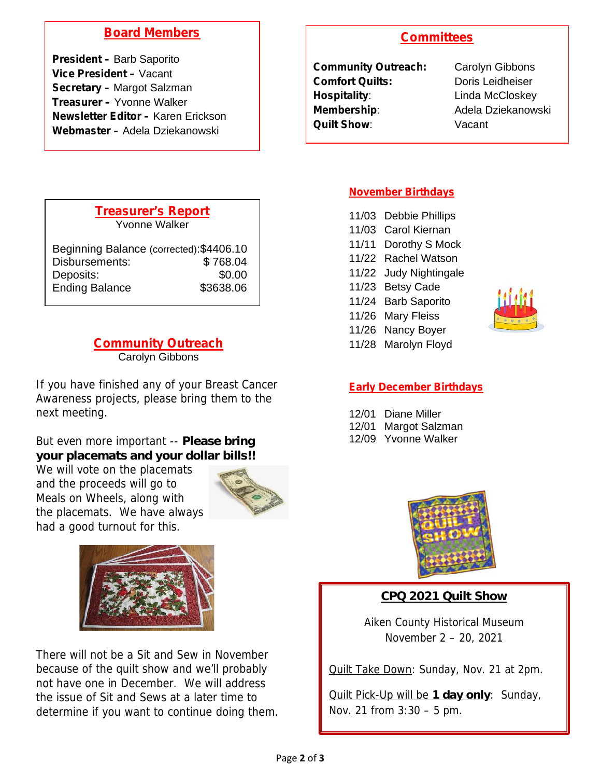## **Board Members**

**President –** Barb Saporito **Vice President –** Vacant **Secretary –** Margot Salzman **Treasurer –** Yvonne Walker **Newsletter Editor –** Karen Erickson **Webmaster –** Adela Dziekanowski

## **Committees**

| <b>Community Outreach:</b> |
|----------------------------|
| <b>Comfort Quilts:</b>     |
| <b>Hospitality:</b>        |
| <b>Membership:</b>         |
| Quilt Show:                |

**Carolyn Gibbons** Doris Leidheiser **Linda McCloskey Membership**: Adela Dziekanowski Vacant

| <b>Treasurer's Report</b>                |           |  |
|------------------------------------------|-----------|--|
| Yvonne Walker                            |           |  |
|                                          |           |  |
| Beginning Balance (corrected): \$4406.10 |           |  |
| Disbursements:                           | \$768.04  |  |
| Deposits:                                | \$0.00    |  |
| <b>Ending Balance</b>                    | \$3638.06 |  |

# **Community Outreach**

Carolyn Gibbons

If you have finished any of your Breast Cancer Awareness projects, please bring them to the next meeting.

But even more important -- **Please bring your placemats and your dollar bills!!**

We will vote on the placemats and the proceeds will go to Meals on Wheels, along with the placemats. We have always had a good turnout for this.





There will not be a Sit and Sew in November because of the quilt show and we'll probably not have one in December. We will address the issue of Sit and Sews at a later time to determine if you want to continue doing them.

### **November Birthdays**

- 11/03 Debbie Phillips
- 11/03 Carol Kiernan
- 11/11 Dorothy S Mock
- 11/22 Rachel Watson
- 11/22 Judy Nightingale
- 11/23 Betsy Cade
- 11/24 Barb Saporito
- 11/26 Mary Fleiss
- 11/26 Nancy Boyer
- 11/28 Marolyn Floyd



### **Early December Birthdays**

- 12/01 Diane Miller
- 12/01 Margot Salzman
- 12/09 Yvonne Walker



**CPQ 2021 Quilt Show**

Aiken County Historical Museum November 2 – 20, 2021

Quilt Take Down: Sunday, Nov. 21 at 2pm.

Quilt Pick-Up will be **1 day only**: Sunday, Nov. 21 from 3:30 – 5 pm.